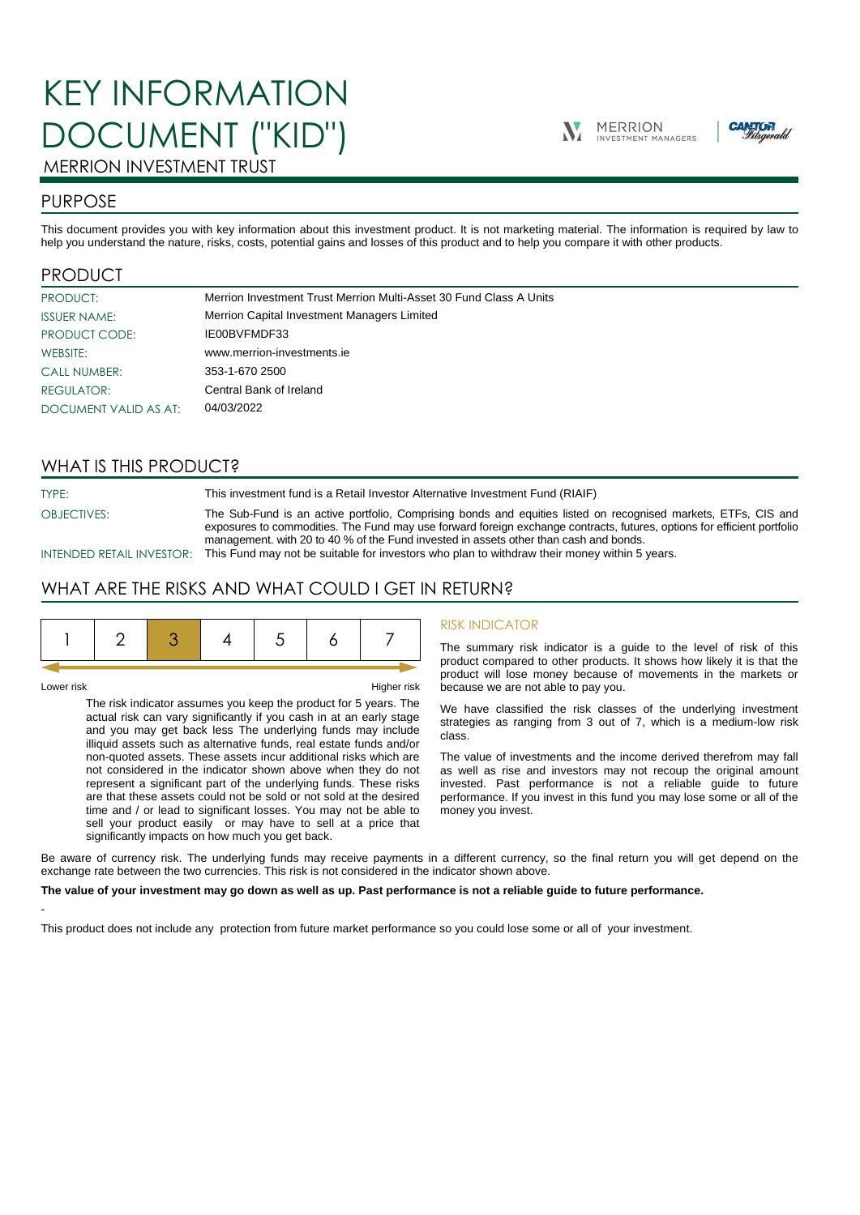# KEY INFORMATION DOCUMENT ("KID")





# MERRION INVESTMENT TRUST

# PURPOSE

This document provides you with key information about this investment product. It is not marketing material. The information is required by law to help you understand the nature, risks, costs, potential gains and losses of this product and to help you compare it with other products.

# PRODUCT

| PRODUCT:              | Merrion Investment Trust Merrion Multi-Asset 30 Fund Class A Units |
|-----------------------|--------------------------------------------------------------------|
| <b>ISSUER NAME:</b>   | Merrion Capital Investment Managers Limited                        |
| PRODUCT CODE:         | IE00BVFMDF33                                                       |
| WEBSITE:              | www.merrion-investments.ie                                         |
| <b>CALL NUMBER:</b>   | 353-1-670 2500                                                     |
| <b>REGULATOR:</b>     | Central Bank of Ireland                                            |
| DOCUMENT VALID AS AT: | 04/03/2022                                                         |

# WHAT IS THIS PRODUCT?

TYPE: This investment fund is a Retail Investor Alternative Investment Fund (RIAIF)

OBJECTIVES: The Sub-Fund is an active portfolio, Comprising bonds and equities listed on recognised markets, ETFs, CIS and

exposures to commodities. The Fund may use forward foreign exchange contracts, futures, options for efficient portfolio management. with 20 to 40 % of the Fund invested in assets other than cash and bonds.

INTENDED RETAIL INVESTOR: This Fund may not be suitable for investors who plan to withdraw their money within 5 years.

# WHAT ARE THE RISKS AND WHAT COULD I GET IN RETURN?

|--|--|--|--|--|--|--|--|

-

Lower risk Higher risk

The risk indicator assumes you keep the product for 5 years. The actual risk can vary significantly if you cash in at an early stage and you may get back less The underlying funds may include illiquid assets such as alternative funds, real estate funds and/or non-quoted assets. These assets incur additional risks which are not considered in the indicator shown above when they do not represent a significant part of the underlying funds. These risks are that these assets could not be sold or not sold at the desired time and / or lead to significant losses. You may not be able to sell your product easily or may have to sell at a price that significantly impacts on how much you get back.

### RISK INDICATOR

The summary risk indicator is a guide to the level of risk of this product compared to other products. It shows how likely it is that the product will lose money because of movements in the markets or because we are not able to pay you.

We have classified the risk classes of the underlying investment strategies as ranging from 3 out of 7, which is a medium-low risk class.

The value of investments and the income derived therefrom may fall as well as rise and investors may not recoup the original amount invested. Past performance is not a reliable guide to future performance. If you invest in this fund you may lose some or all of the money you invest.

Be aware of currency risk. The underlying funds may receive payments in a different currency, so the final return you will get depend on the exchange rate between the two currencies. This risk is not considered in the indicator shown above.

#### **The value of your investment may go down as well as up. Past performance is not a reliable guide to future performance.**

This product does not include any protection from future market performance so you could lose some or all of your investment.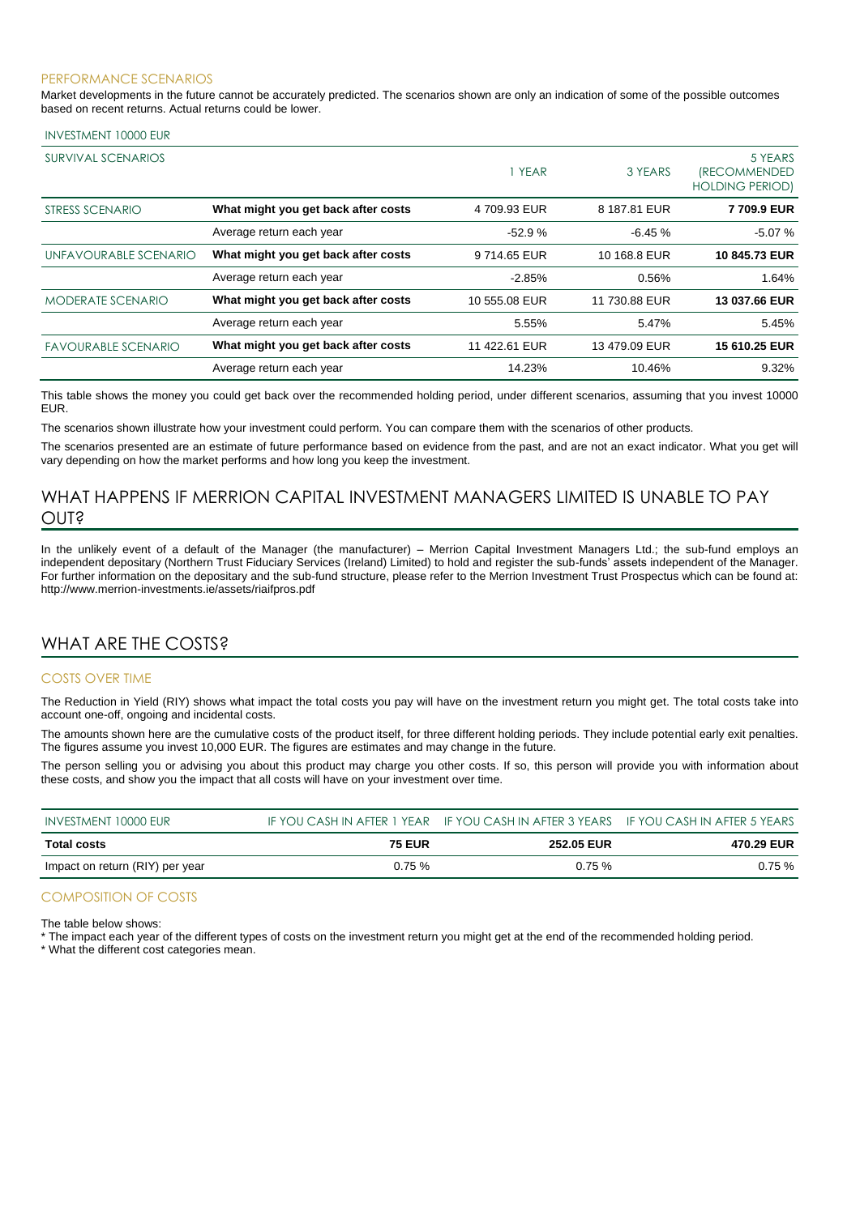#### PERFORMANCE SCENARIOS

Market developments in the future cannot be accurately predicted. The scenarios shown are only an indication of some of the possible outcomes based on recent returns. Actual returns could be lower.

#### INVESTMENT 10000 EUR

| SURVIVAL SCENARIOS         |                                     | <b>YEAR</b>   | 3 YEARS       | 5 YEARS<br><i><b>(RECOMMENDED</b></i><br><b>HOLDING PERIOD)</b> |
|----------------------------|-------------------------------------|---------------|---------------|-----------------------------------------------------------------|
| STRESS SCENARIO            | What might you get back after costs | 4 709.93 EUR  | 8 187.81 EUR  | 7709.9 EUR                                                      |
|                            | Average return each year            | $-52.9%$      | $-6.45%$      | $-5.07%$                                                        |
| UNFAVOURABLE SCENARIO      | What might you get back after costs | 9714.65 EUR   | 10 168.8 EUR  | 10 845.73 EUR                                                   |
|                            | Average return each year            | $-2.85%$      | 0.56%         | 1.64%                                                           |
| <b>MODERATE SCENARIO</b>   | What might you get back after costs | 10 555.08 EUR | 11 730.88 EUR | 13 037.66 EUR                                                   |
|                            | Average return each year            | 5.55%         | 5.47%         | 5.45%                                                           |
| <b>FAVOURABLE SCENARIO</b> | What might you get back after costs | 11 422.61 EUR | 13 479.09 EUR | 15 610.25 EUR                                                   |
|                            | Average return each year            | 14.23%        | 10.46%        | 9.32%                                                           |

This table shows the money you could get back over the recommended holding period, under different scenarios, assuming that you invest 10000 EUR.

The scenarios shown illustrate how your investment could perform. You can compare them with the scenarios of other products.

The scenarios presented are an estimate of future performance based on evidence from the past, and are not an exact indicator. What you get will vary depending on how the market performs and how long you keep the investment.

# WHAT HAPPENS IF MERRION CAPITAL INVESTMENT MANAGERS LIMITED IS UNABLE TO PAY OUT?

In the unlikely event of a default of the Manager (the manufacturer) – Merrion Capital Investment Managers Ltd.; the sub-fund employs an independent depositary (Northern Trust Fiduciary Services (Ireland) Limited) to hold and register the sub-funds' assets independent of the Manager. For further information on the depositary and the sub-fund structure, please refer to the Merrion Investment Trust Prospectus which can be found at: http://www.merrion-investments.ie/assets/riaifpros.pdf

# WHAT ARE THE COSTS?

#### COSTS OVER TIME

The Reduction in Yield (RIY) shows what impact the total costs you pay will have on the investment return you might get. The total costs take into account one-off, ongoing and incidental costs.

The amounts shown here are the cumulative costs of the product itself, for three different holding periods. They include potential early exit penalties. The figures assume you invest 10,000 EUR. The figures are estimates and may change in the future.

The person selling you or advising you about this product may charge you other costs. If so, this person will provide you with information about these costs, and show you the impact that all costs will have on your investment over time.

| INVESTMENT 10000 EUR            |               | IF YOU CASH IN AFTER 1 YEAR IF YOU CASH IN AFTER 3 YEARS IF YOU CASH IN AFTER 5 YEARS |            |
|---------------------------------|---------------|---------------------------------------------------------------------------------------|------------|
| <b>Total costs</b>              | <b>75 EUR</b> | <b>252.05 EUR</b>                                                                     | 470.29 EUR |
| Impact on return (RIY) per year | 0.75%         | 0.75%                                                                                 | 0.75%      |

### COMPOSITION OF COSTS

The table below shows:

\* The impact each year of the different types of costs on the investment return you might get at the end of the recommended holding period.

\* What the different cost categories mean.